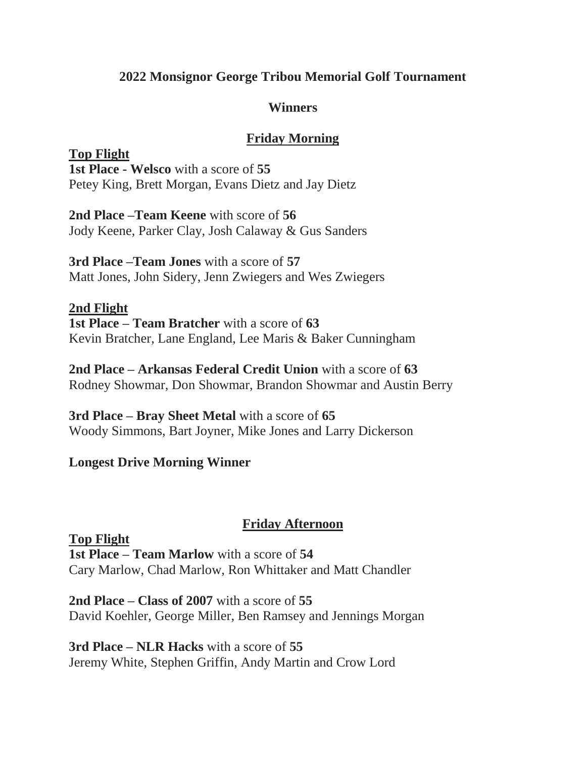# **2022 Monsignor George Tribou Memorial Golf Tournament**

### **Winners**

# **Friday Morning**

**Top Flight 1st Place - Welsco** with a score of **55** Petey King, Brett Morgan, Evans Dietz and Jay Dietz

**2nd Place –Team Keene** with score of **56** Jody Keene, Parker Clay, Josh Calaway & Gus Sanders

**3rd Place –Team Jones** with a score of **57** Matt Jones, John Sidery, Jenn Zwiegers and Wes Zwiegers

**2nd Flight 1st Place – Team Bratcher** with a score of **63** Kevin Bratcher, Lane England, Lee Maris & Baker Cunningham

**2nd Place – Arkansas Federal Credit Union** with a score of **63** Rodney Showmar, Don Showmar, Brandon Showmar and Austin Berry

**3rd Place – Bray Sheet Metal** with a score of **65** Woody Simmons, Bart Joyner, Mike Jones and Larry Dickerson

### **Longest Drive Morning Winner**

### **Friday Afternoon**

**Top Flight 1st Place – Team Marlow** with a score of **54** Cary Marlow, Chad Marlow, Ron Whittaker and Matt Chandler

**2nd Place – Class of 2007** with a score of **55** David Koehler, George Miller, Ben Ramsey and Jennings Morgan

**3rd Place – NLR Hacks** with a score of **55** Jeremy White, Stephen Griffin, Andy Martin and Crow Lord